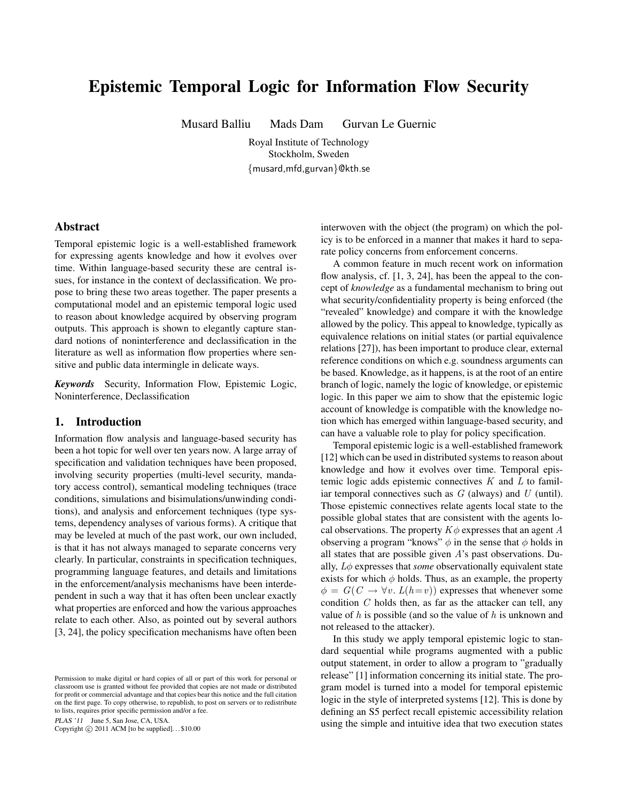# Epistemic Temporal Logic for Information Flow Security

Musard Balliu Mads Dam Gurvan Le Guernic

Royal Institute of Technology Stockholm, Sweden {musard,mfd,gurvan}@kth.se

#### Abstract

Temporal epistemic logic is a well-established framework for expressing agents knowledge and how it evolves over time. Within language-based security these are central issues, for instance in the context of declassification. We propose to bring these two areas together. The paper presents a computational model and an epistemic temporal logic used to reason about knowledge acquired by observing program outputs. This approach is shown to elegantly capture standard notions of noninterference and declassification in the literature as well as information flow properties where sensitive and public data intermingle in delicate ways.

*Keywords* Security, Information Flow, Epistemic Logic, Noninterference, Declassification

# 1. Introduction

Information flow analysis and language-based security has been a hot topic for well over ten years now. A large array of specification and validation techniques have been proposed, involving security properties (multi-level security, mandatory access control), semantical modeling techniques (trace conditions, simulations and bisimulations/unwinding conditions), and analysis and enforcement techniques (type systems, dependency analyses of various forms). A critique that may be leveled at much of the past work, our own included, is that it has not always managed to separate concerns very clearly. In particular, constraints in specification techniques, programming language features, and details and limitations in the enforcement/analysis mechanisms have been interdependent in such a way that it has often been unclear exactly what properties are enforced and how the various approaches relate to each other. Also, as pointed out by several authors [3, 24], the policy specification mechanisms have often been

PLAS '11 June 5, San Jose, CA, USA.

Copyright  $\odot$  2011 ACM [to be supplied]...\$10.00

interwoven with the object (the program) on which the policy is to be enforced in a manner that makes it hard to separate policy concerns from enforcement concerns.

A common feature in much recent work on information flow analysis, cf. [1, 3, 24], has been the appeal to the concept of *knowledge* as a fundamental mechanism to bring out what security/confidentiality property is being enforced (the "revealed" knowledge) and compare it with the knowledge allowed by the policy. This appeal to knowledge, typically as equivalence relations on initial states (or partial equivalence relations [27]), has been important to produce clear, external reference conditions on which e.g. soundness arguments can be based. Knowledge, as it happens, is at the root of an entire branch of logic, namely the logic of knowledge, or epistemic logic. In this paper we aim to show that the epistemic logic account of knowledge is compatible with the knowledge notion which has emerged within language-based security, and can have a valuable role to play for policy specification.

Temporal epistemic logic is a well-established framework [12] which can be used in distributed systems to reason about knowledge and how it evolves over time. Temporal epistemic logic adds epistemic connectives  $K$  and  $L$  to familiar temporal connectives such as  $G$  (always) and  $U$  (until). Those epistemic connectives relate agents local state to the possible global states that are consistent with the agents local observations. The property  $K\phi$  expresses that an agent A observing a program "knows"  $\phi$  in the sense that  $\phi$  holds in all states that are possible given A's past observations. Dually, Lφ expresses that *some* observationally equivalent state exists for which  $\phi$  holds. Thus, as an example, the property  $\phi = G(C \rightarrow \forall v. L(h=v))$  expresses that whenever some condition C holds then, as far as the attacker can tell, any value of h is possible (and so the value of h is unknown and not released to the attacker).

In this study we apply temporal epistemic logic to standard sequential while programs augmented with a public output statement, in order to allow a program to "gradually release" [1] information concerning its initial state. The program model is turned into a model for temporal epistemic logic in the style of interpreted systems [12]. This is done by defining an S5 perfect recall epistemic accessibility relation using the simple and intuitive idea that two execution states

Permission to make digital or hard copies of all or part of this work for personal or classroom use is granted without fee provided that copies are not made or distributed for profit or commercial advantage and that copies bear this notice and the full citation on the first page. To copy otherwise, to republish, to post on servers or to redistribute to lists, requires prior specific permission and/or a fee.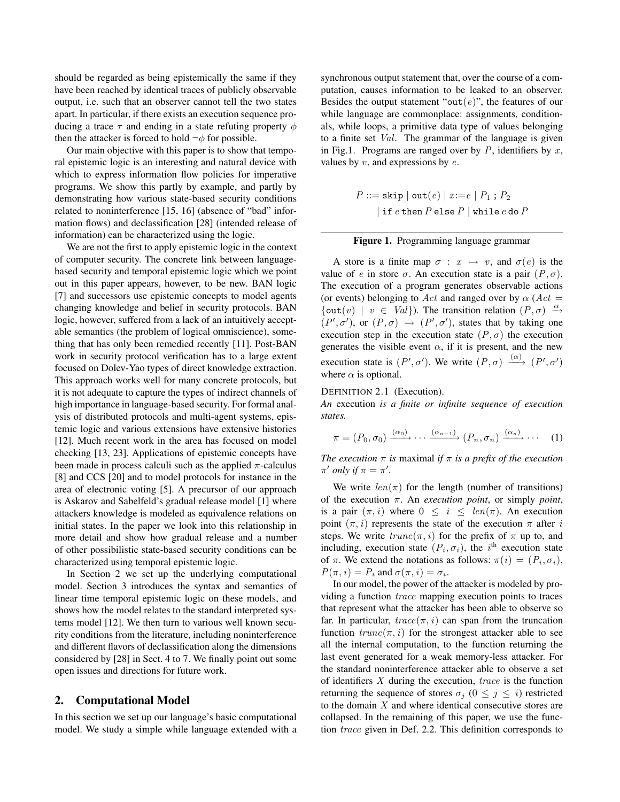should be regarded as being epistemically the same if they have been reached by identical traces of publicly observable output, i.e. such that an observer cannot tell the two states apart. In particular, if there exists an execution sequence producing a trace  $\tau$  and ending in a state refuting property  $\phi$ then the attacker is forced to hold  $\neg \phi$  for possible.

Our main objective with this paper is to show that temporal epistemic logic is an interesting and natural device with which to express information flow policies for imperative programs. We show this partly by example, and partly by demonstrating how various state-based security conditions related to noninterference [15, 16] (absence of "bad" information flows) and declassification [28] (intended release of information) can be characterized using the logic.

We are not the first to apply epistemic logic in the context of computer security. The concrete link between languagebased security and temporal epistemic logic which we point out in this paper appears, however, to be new. BAN logic [7] and successors use epistemic concepts to model agents changing knowledge and belief in security protocols. BAN logic, however, suffered from a lack of an intuitively acceptable semantics (the problem of logical omniscience), something that has only been remedied recently [11]. Post-BAN work in security protocol verification has to a large extent focused on Dolev-Yao types of direct knowledge extraction. This approach works well for many concrete protocols, but it is not adequate to capture the types of indirect channels of high importance in language-based security. For formal analysis of distributed protocols and multi-agent systems, epistemic logic and various extensions have extensive histories [12]. Much recent work in the area has focused on model checking [13, 23]. Applications of epistemic concepts have been made in process calculi such as the applied  $\pi$ -calculus [8] and CCS [20] and to model protocols for instance in the area of electronic voting [5]. A precursor of our approach is Askarov and Sabelfeld's gradual release model [1] where attackers knowledge is modeled as equivalence relations on initial states. In the paper we look into this relationship in more detail and show how gradual release and a number of other possibilistic state-based security conditions can be characterized using temporal epistemic logic.

In Section 2 we set up the underlying computational model. Section 3 introduces the syntax and semantics of linear time temporal epistemic logic on these models, and shows how the model relates to the standard interpreted systems model [12]. We then turn to various well known security conditions from the literature, including noninterference and different flavors of declassification along the dimensions considered by [28] in Sect. 4 to 7. We finally point out some open issues and directions for future work.

#### 2. Computational Model

In this section we set up our language's basic computational model. We study a simple while language extended with a synchronous output statement that, over the course of a computation, causes information to be leaked to an observer. Besides the output statement "out $(e)$ ", the features of our while language are commonplace: assignments, conditionals, while loops, a primitive data type of values belonging to a finite set Val. The grammar of the language is given in Fig.1. Programs are ranged over by  $P$ , identifiers by  $x$ , values by  $v$ , and expressions by  $e$ .

$$
P ::= \textsf{skip} | \textsf{out}(e) | x := e | P_1 ; P_2
$$
  
| if  $e$  then  $P$  else  $P |$  while  $e$  do  $P$ 

#### Figure 1. Programming language grammar

A store is a finite map  $\sigma : x \mapsto v$ , and  $\sigma(e)$  is the value of e in store  $\sigma$ . An execution state is a pair  $(P, \sigma)$ . The execution of a program generates observable actions (or events) belonging to Act and ranged over by  $\alpha$  (Act = {out(v) | v  $\in$  Val}). The transition relation  $(P, \sigma) \stackrel{\alpha}{\rightarrow}$  $(P', \sigma')$ , or  $(P, \sigma) \rightarrow (P', \sigma')$ , states that by taking one execution step in the execution state  $(P, \sigma)$  the execution generates the visible event  $\alpha$ , if it is present, and the new execution state is  $(P', \sigma')$ . We write  $(P, \sigma) \xrightarrow{(\alpha)} (P', \sigma')$ where  $\alpha$  is optional.

DEFINITION 2.1 (Execution).

*An* execution *is a finite or infinite sequence of execution states.*

$$
\pi = (P_0, \sigma_0) \xrightarrow{(\alpha_0)} \cdots \xrightarrow{(\alpha_{n-1})} (P_n, \sigma_n) \xrightarrow{(\alpha_n)} \cdots \quad (1)
$$

*The execution*  $\pi$  *is* maximal *if*  $\pi$  *is a prefix of the execution*  $\pi'$  *only if*  $\pi = \pi'$ .

We write  $len(\pi)$  for the length (number of transitions) of the execution π. An *execution point*, or simply *point*, is a pair  $(\pi, i)$  where  $0 \leq i \leq len(\pi)$ . An execution point  $(\pi, i)$  represents the state of the execution  $\pi$  after i steps. We write  $trunc(\pi, i)$  for the prefix of  $\pi$  up to, and including, execution state  $(P_i, \sigma_i)$ , the i<sup>th</sup> execution state of  $\pi$ . We extend the notations as follows:  $\pi(i) = (P_i, \sigma_i)$ ,  $P(\pi, i) = P_i$  and  $\sigma(\pi, i) = \sigma_i$ .

In our model, the power of the attacker is modeled by providing a function trace mapping execution points to traces that represent what the attacker has been able to observe so far. In particular,  $trace(\pi, i)$  can span from the truncation function  $trunc(\pi, i)$  for the strongest attacker able to see all the internal computation, to the function returning the last event generated for a weak memory-less attacker. For the standard noninterference attacker able to observe a set of identifiers  $X$  during the execution, trace is the function returning the sequence of stores  $\sigma_i$  ( $0 \leq j \leq i$ ) restricted to the domain  $X$  and where identical consecutive stores are collapsed. In the remaining of this paper, we use the function trace given in Def. 2.2. This definition corresponds to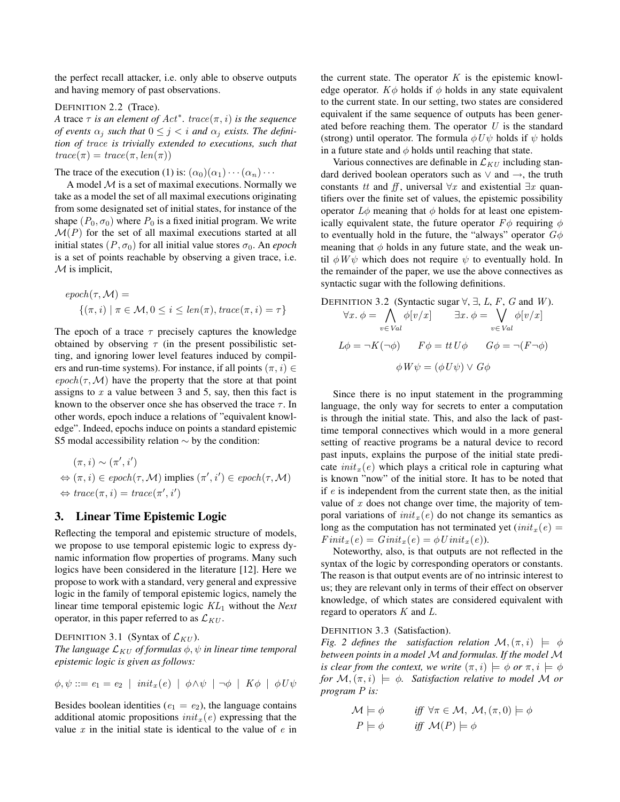the perfect recall attacker, i.e. only able to observe outputs and having memory of past observations.

DEFINITION 2.2 (Trace).

*A* trace  $\tau$  *is an element of Act<sup>\*</sup>. trace*( $\pi$ , *i*) *is the sequence of events*  $\alpha_j$  *such that*  $0 \leq j < i$  *and*  $\alpha_j$  *exists. The definition of* trace *is trivially extended to executions, such that*  $trace(\pi) = trace(\pi, len(\pi))$ 

The trace of the execution (1) is:  $(\alpha_0)(\alpha_1)\cdots(\alpha_n)\cdots$ 

A model  $M$  is a set of maximal executions. Normally we take as a model the set of all maximal executions originating from some designated set of initial states, for instance of the shape  $(P_0, \sigma_0)$  where  $P_0$  is a fixed initial program. We write  $\mathcal{M}(P)$  for the set of all maximal executions started at all initial states  $(P, \sigma_0)$  for all initial value stores  $\sigma_0$ . An *epoch* is a set of points reachable by observing a given trace, i.e.  $M$  is implicit,

$$
epoch(\tau, \mathcal{M}) = \{ (\pi, i) \mid \pi \in \mathcal{M}, 0 \le i \le len(\pi), trace(\pi, i) = \tau \}
$$

The epoch of a trace  $\tau$  precisely captures the knowledge obtained by observing  $\tau$  (in the present possibilistic setting, and ignoring lower level features induced by compilers and run-time systems). For instance, if all points ( $\pi$ , i)  $\in$ epoch( $\tau$ , M) have the property that the store at that point assigns to  $x$  a value between 3 and 5, say, then this fact is known to the observer once she has observed the trace  $\tau$ . In other words, epoch induce a relations of "equivalent knowledge". Indeed, epochs induce on points a standard epistemic S5 modal accessibility relation ∼ by the condition:

 $(\pi, i) \sim (\pi', i')$  $\Leftrightarrow (\pi, i) \in epoch(\tau, \mathcal{M})$  implies  $(\pi', i') \in epoch(\tau, \mathcal{M})$  $\Leftrightarrow \text{trace}(\pi, i) = \text{trace}(\pi', i')$ 

## 3. Linear Time Epistemic Logic

Reflecting the temporal and epistemic structure of models, we propose to use temporal epistemic logic to express dynamic information flow properties of programs. Many such logics have been considered in the literature [12]. Here we propose to work with a standard, very general and expressive logic in the family of temporal epistemic logics, namely the linear time temporal epistemic logic KL<sup>1</sup> without the *Next* operator, in this paper referred to as  $\mathcal{L}_{KU}$ .

DEFINITION 3.1 (Syntax of  $\mathcal{L}_{KU}$ ).

*The language*  $\mathcal{L}_{KU}$  *of formulas*  $\phi, \psi$  *in linear time temporal epistemic logic is given as follows:*

$$
\phi, \psi ::= e_1 = e_2 \mid init_x(e) \mid \phi \land \psi \mid \neg \phi \mid K\phi \mid \phi U\psi
$$

Besides boolean identities ( $e_1 = e_2$ ), the language contains additional atomic propositions  $init<sub>x</sub>(e)$  expressing that the value  $x$  in the initial state is identical to the value of  $e$  in

the current state. The operator  $K$  is the epistemic knowledge operator.  $K\phi$  holds if  $\phi$  holds in any state equivalent to the current state. In our setting, two states are considered equivalent if the same sequence of outputs has been generated before reaching them. The operator  $U$  is the standard (strong) until operator. The formula  $\phi U \psi$  holds if  $\psi$  holds in a future state and  $\phi$  holds until reaching that state.

Various connectives are definable in  $\mathcal{L}_{KU}$  including standard derived boolean operators such as  $\vee$  and  $\rightarrow$ , the truth constants tt and ff, universal  $\forall x$  and existential  $\exists x$  quantifiers over the finite set of values, the epistemic possibility operator  $L\phi$  meaning that  $\phi$  holds for at least one epistemically equivalent state, the future operator  $F\phi$  requiring  $\phi$ to eventually hold in the future, the "always" operator  $G\phi$ meaning that  $\phi$  holds in any future state, and the weak until  $\phi W \psi$  which does not require  $\psi$  to eventually hold. In the remainder of the paper, we use the above connectives as syntactic sugar with the following definitions.

DEFINITION 3.2 (Syntactic sugar 
$$
\forall
$$
,  $\exists$ ,  $L$ ,  $F$ ,  $G$  and  $W$ ).  
\n
$$
\forall x. \phi = \bigwedge_{v \in Val} \phi[v/x] \qquad \exists x. \phi = \bigvee_{v \in Val} \phi[v/x]
$$
\n
$$
L\phi = \neg K(\neg \phi) \qquad F\phi = tt \ U\phi \qquad G\phi = \neg(F \neg \phi)
$$
\n
$$
\phi W\psi = (\phi U\psi) \lor G\phi
$$

Since there is no input statement in the programming language, the only way for secrets to enter a computation is through the initial state. This, and also the lack of pasttime temporal connectives which would in a more general setting of reactive programs be a natural device to record past inputs, explains the purpose of the initial state predicate  $init_x(e)$  which plays a critical role in capturing what is known "now" of the initial store. It has to be noted that if  $e$  is independent from the current state then, as the initial value of  $x$  does not change over time, the majority of temporal variations of  $init_x(e)$  do not change its semantics as long as the computation has not terminated yet  $(int_x(e) =$  $Finit_x(e) = Ginit_x(e) = \phi \text{Uinit}_x(e).$ 

Noteworthy, also, is that outputs are not reflected in the syntax of the logic by corresponding operators or constants. The reason is that output events are of no intrinsic interest to us; they are relevant only in terms of their effect on observer knowledge, of which states are considered equivalent with regard to operators  $K$  and  $L$ .

#### DEFINITION 3.3 (Satisfaction).

*Fig.* 2 defines the satisfaction relation  $\mathcal{M}, (\pi, i) \models \phi$ *between points in a model* M *and formulas. If the model* M *is clear from the context, we write*  $(\pi, i) \models \phi$  *or*  $\pi, i \models \phi$ *for*  $\mathcal{M}, (\pi, i) \models \phi$ *. Satisfaction relative to model* M *or program* P *is:*

$$
\mathcal{M} \models \phi \quad \text{iff } \forall \pi \in \mathcal{M}, \ \mathcal{M}, (\pi, 0) \models \phi
$$

$$
P \models \phi \quad \text{iff } \mathcal{M}(P) \models \phi
$$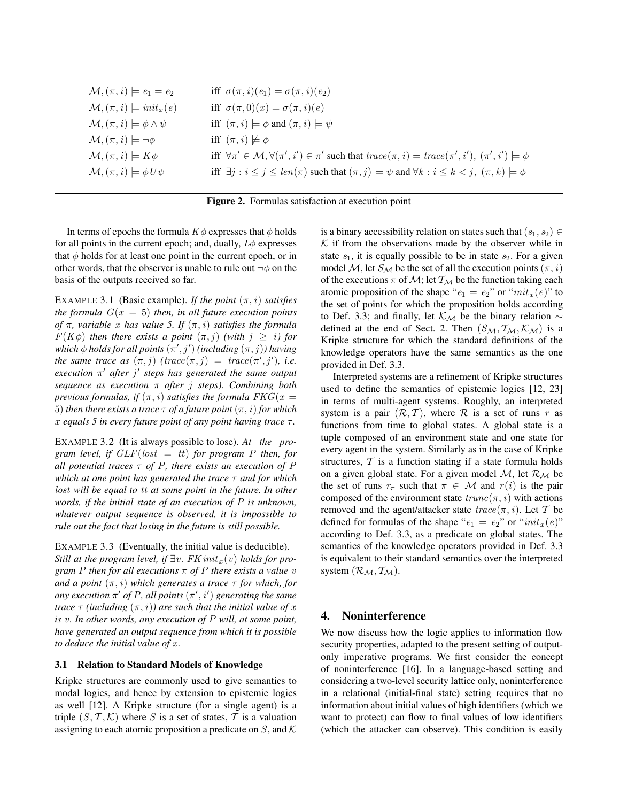| $\mathcal{M}, (\pi, i) \models e_1 = e_2$       | iff $\sigma(\pi, i)(e_1) = \sigma(\pi, i)(e_2)$                                                                                      |
|-------------------------------------------------|--------------------------------------------------------------------------------------------------------------------------------------|
| $\mathcal{M}, (\pi, i) \models init_x(e)$       | iff $\sigma(\pi,0)(x) = \sigma(\pi,i)(e)$                                                                                            |
| $\mathcal{M}, (\pi, i) \models \phi \land \psi$ | iff $(\pi, i) \models \phi$ and $(\pi, i) \models \psi$                                                                              |
| $\mathcal{M}, (\pi, i) \models \neg \phi$       | iff $(\pi, i) \not\models \phi$                                                                                                      |
| $\mathcal{M}, (\pi, i) \models K\phi$           | iff $\forall \pi' \in \mathcal{M}, \forall (\pi', i') \in \pi'$ such that $trace(\pi, i) = trace(\pi', i'), (\pi', i') \models \phi$ |
| $\mathcal{M}, (\pi, i) \models \phi U \psi$     | iff $\exists j : i \leq j \leq len(\pi)$ such that $(\pi, j) \models \psi$ and $\forall k : i \leq k < j$ , $(\pi, k) \models \phi$  |
|                                                 |                                                                                                                                      |

|  |  |  | Figure 2. Formulas satisfaction at execution point |  |
|--|--|--|----------------------------------------------------|--|
|--|--|--|----------------------------------------------------|--|

In terms of epochs the formula  $K\phi$  expresses that  $\phi$  holds for all points in the current epoch; and, dually,  $L\phi$  expresses that  $\phi$  holds for at least one point in the current epoch, or in other words, that the observer is unable to rule out  $\neg \phi$  on the basis of the outputs received so far.

EXAMPLE 3.1 (Basic example). *If the point*  $(\pi, i)$  *satisfies the formula*  $G(x = 5)$  *then, in all future execution points of* π, variable x has value 5. If  $(π, i)$  satisfies the formula  $F(K\phi)$  *then there exists a point*  $(\pi, j)$  *(with*  $j \geq i$ *) for*  $which \phi$  *holds for all points*  $(\pi', j')$  (including  $(\pi, j)$ ) having *the same trace as*  $(\pi, j)$   $(trace(\pi, j) = trace(\pi', j')$ , *i.e. execution* π <sup>0</sup> *after* j 0 *steps has generated the same output sequence as execution* π *after* j *steps). Combining both previous formulas, if*  $(\pi, i)$  *satisfies the formula*  $FKG(x =$ 5) *then there exists a trace*  $\tau$  *of a future point*  $(\pi, i)$  *for which x* equals 5 in every future point of any point having trace τ.

EXAMPLE 3.2 (It is always possible to lose). *At the program level, if* GLF(lost = tt) *for program* P *then, for all potential traces* τ *of* P*, there exists an execution of* P *which at one point has generated the trace* τ *and for which* lost *will be equal to* tt *at some point in the future. In other words, if the initial state of an execution of* P *is unknown, whatever output sequence is observed, it is impossible to rule out the fact that losing in the future is still possible.*

EXAMPLE 3.3 (Eventually, the initial value is deducible). *Still at the program level, if*  $\exists v$ *. FK init<sub>x</sub>(v) holds for program* P *then for all executions* π *of* P *there exists a value* v *and a point* (π, i) *which generates a trace* τ *for which, for*  $any$  *execution*  $\pi'$  *of*  $P$ *, all points*  $(\pi', i')$  *generating the same trace*  $\tau$  *(including*  $(\pi, i)$ *)* are such that the initial value of x *is* v*. In other words, any execution of* P *will, at some point, have generated an output sequence from which it is possible to deduce the initial value of x.* 

#### 3.1 Relation to Standard Models of Knowledge

Kripke structures are commonly used to give semantics to modal logics, and hence by extension to epistemic logics as well [12]. A Kripke structure (for a single agent) is a triple  $(S, \mathcal{T}, \mathcal{K})$  where S is a set of states, T is a valuation assigning to each atomic proposition a predicate on  $S$ , and  $K$  is a binary accessibility relation on states such that  $(s_1, s_2) \in$  $K$  if from the observations made by the observer while in state  $s_1$ , it is equally possible to be in state  $s_2$ . For a given model M, let  $S_M$  be the set of all the execution points  $(\pi, i)$ of the executions  $\pi$  of M; let  $\mathcal{T}_M$  be the function taking each atomic proposition of the shape " $e_1 = e_2$ " or "init<sub>x</sub>(e)" to the set of points for which the proposition holds according to Def. 3.3; and finally, let  $K_{\mathcal{M}}$  be the binary relation  $\sim$ defined at the end of Sect. 2. Then  $(S_{\mathcal{M}}, T_{\mathcal{M}}, \mathcal{K}_{\mathcal{M}})$  is a Kripke structure for which the standard definitions of the knowledge operators have the same semantics as the one provided in Def. 3.3.

Interpreted systems are a refinement of Kripke structures used to define the semantics of epistemic logics [12, 23] in terms of multi-agent systems. Roughly, an interpreted system is a pair  $(\mathcal{R}, \mathcal{T})$ , where  $\mathcal R$  is a set of runs r as functions from time to global states. A global state is a tuple composed of an environment state and one state for every agent in the system. Similarly as in the case of Kripke structures,  $T$  is a function stating if a state formula holds on a given global state. For a given model M, let  $\mathcal{R}_{\mathcal{M}}$  be the set of runs  $r_{\pi}$  such that  $\pi \in \mathcal{M}$  and  $r(i)$  is the pair composed of the environment state  $trunc(\pi, i)$  with actions removed and the agent/attacker state  $trace(\pi, i)$ . Let T be defined for formulas of the shape " $e_1 = e_2$ " or "init<sub>x</sub>(e)" according to Def. 3.3, as a predicate on global states. The semantics of the knowledge operators provided in Def. 3.3 is equivalent to their standard semantics over the interpreted system  $(\mathcal{R}_{\mathcal{M}}, \mathcal{T}_{\mathcal{M}})$ .

# 4. Noninterference

We now discuss how the logic applies to information flow security properties, adapted to the present setting of outputonly imperative programs. We first consider the concept of noninterference [16]. In a language-based setting and considering a two-level security lattice only, noninterference in a relational (initial-final state) setting requires that no information about initial values of high identifiers (which we want to protect) can flow to final values of low identifiers (which the attacker can observe). This condition is easily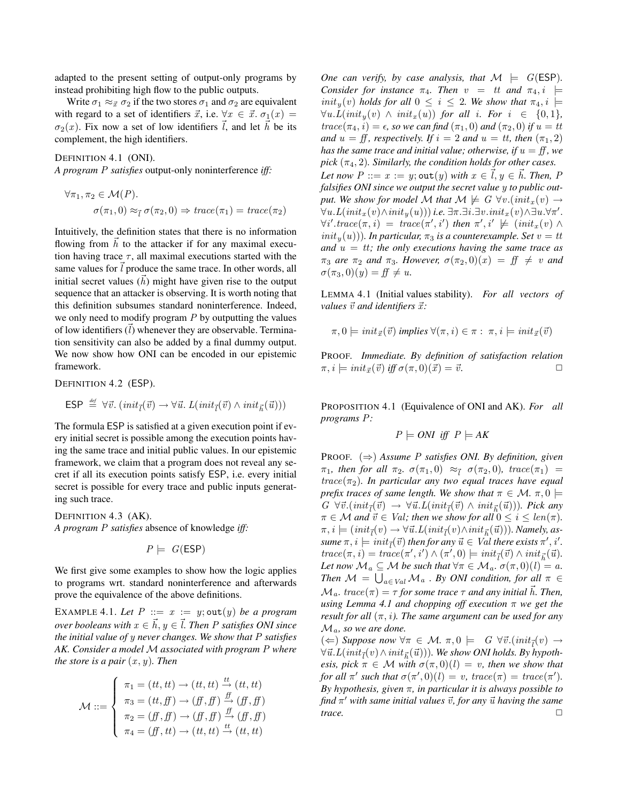adapted to the present setting of output-only programs by instead prohibiting high flow to the public outputs.

Write  $\sigma_1 \approx_{\vec{x}} \sigma_2$  if the two stores  $\sigma_1$  and  $\sigma_2$  are equivalent with regard to a set of identifiers  $\vec{x}$ , i.e.  $\forall x \in \vec{x}$ .  $\sigma_1(x) =$  $\sigma_2(x)$ . Fix now a set of low identifiers  $\vec{l}$ , and let  $\vec{h}$  be its complement, the high identifiers.

DEFINITION 4.1 (ONI).

*A program* P *satisfies* output-only noninterference *iff:*

$$
\forall \pi_1, \pi_2 \in \mathcal{M}(P).
$$
  

$$
\sigma(\pi_1, 0) \approx_{\vec{l}} \sigma(\pi_2, 0) \Rightarrow \text{trace}(\pi_1) = \text{trace}(\pi_2)
$$

Intuitively, the definition states that there is no information flowing from  $\vec{h}$  to the attacker if for any maximal execution having trace  $\tau$ , all maximal executions started with the same values for  $\vec{l}$  produce the same trace. In other words, all initial secret values  $(\vec{h})$  might have given rise to the output sequence that an attacker is observing. It is worth noting that this definition subsumes standard noninterference. Indeed, we only need to modify program  $P$  by outputting the values of low identifiers  $(\vec{l})$  whenever they are observable. Termination sensitivity can also be added by a final dummy output. We now show how ONI can be encoded in our epistemic framework.

DEFINITION 4.2 (ESP).

$$
\mathsf{ESP} \stackrel{\textit{def}}{=} \forall \vec{v}. \left(\textit{init}_{\vec{l}}(\vec{v}) \rightarrow \forall \vec{u}. \ L(\textit{init}_{\vec{l}}(\vec{v}) \land \textit{init}_{\vec{h}}(\vec{u}))\right)
$$

The formula ESP is satisfied at a given execution point if every initial secret is possible among the execution points having the same trace and initial public values. In our epistemic framework, we claim that a program does not reveal any secret if all its execution points satisfy ESP, i.e. every initial secret is possible for every trace and public inputs generating such trace.

DEFINITION 4.3 (AK). *A program* P *satisfies* absence of knowledge *iff:*

$$
P \models G(\text{ESP})
$$

We first give some examples to show how the logic applies to programs wrt. standard noninterference and afterwards prove the equivalence of the above definitions.

EXAMPLE 4.1. Let  $P ::= x := y$ ; out(y) *be a program over booleans with*  $x \in \vec{h}$ ,  $y \in \vec{l}$ . Then P satisfies ONI since *the initial value of* y *never changes. We show that* P *satisfies AK. Consider a model* M *associated with program* P *where the store is a pair*  $(x, y)$ *. Then* 

$$
\mathcal{M} ::= \begin{cases} \pi_1 = (tt, tt) \rightarrow (tt, tt) \stackrel{tt}{\rightarrow} (tt, tt) \\ \pi_3 = (tt, ff) \rightarrow (ff, ff) \stackrel{ff}{\rightarrow} (ff, ff) \\ \pi_2 = (ff, ff) \rightarrow (ff, ff) \stackrel{ff}{\rightarrow} (ff, ff) \\ \pi_4 = (ff, tt) \rightarrow (tt, tt) \stackrel{tt}{\rightarrow} (tt, tt) \end{cases}
$$

*One can verify, by case analysis, that*  $M \models G(\text{ESP})$ *. Consider for instance*  $\pi_4$ *. Then*  $v = tt$  *and*  $\pi_4$ *,*  $i \models$  $init_y(v)$  *holds for all*  $0 \le i \le 2$ *. We show that*  $\pi_4$ *,*  $i \models$  $\forall u \, L (\text{init}_u(v) \land \text{init}_x(u))$  *for all i. For*  $i \in \{0, 1\}$ *,*  $trace(\pi_4, i) = \epsilon$ , so we can find  $(\pi_1, 0)$  and  $(\pi_2, 0)$  if  $u = tt$ *and*  $u = ff$ , *respectively.* If  $i = 2$  *and*  $u = tt$ , *then*  $(\pi_1, 2)$ *has the same trace and initial value; otherwise, if*  $u = ff$ *, we pick*  $(\pi_4, 2)$ *. Similarly, the condition holds for other cases. Let now*  $P ::= x := y$ ; out(y) *with*  $x \in \overline{l}, y \in \overline{h}$ . Then, P *falsifies ONI since we output the secret value* y *to public output.* We show for model M that  $M \not\models G \forall v. (init_x(v) \rightarrow$  $\forall u \, L (init_x(v) \wedge init_y(u)))$  *i.e.*  $\exists \pi . \exists i. \exists v .init_x(v) \wedge \exists u. \forall \pi'.$  $\forall i'.trace(\pi, i) = trace(\pi', i')$  then  $\pi', i' \not\models (init_x(v) \land$  $init<sub>v</sub>(u))$ *). In particular,*  $\pi_3$  *is a counterexample. Set*  $v = tt$ *and* u = tt*; the only executions having the same trace as*  $\pi_3$  *are*  $\pi_2$  *and*  $\pi_3$ *. However,*  $\sigma(\pi_2, 0)(x) = ff \neq v$  *and*  $\sigma(\pi_3, 0)(y) = ff \neq u.$ 

LEMMA 4.1 (Initial values stability). *For all vectors of values*  $\vec{v}$  *and identifiers*  $\vec{x}$ *:* 

$$
\pi, 0 \models init_{\vec{x}}(\vec{v}) \text{ implies } \forall (\pi, i) \in \pi : \pi, i \models init_{\vec{x}}(\vec{v})
$$

PROOF. *Immediate. By definition of satisfaction relation*  $\pi, i \models init_{\vec{x}}(\vec{v}) \text{ iff } \sigma(\pi, 0)(\vec{x}) = \vec{v}.$ 

PROPOSITION 4.1 (Equivalence of ONI and AK). *For all programs* P*:*

$$
P \models ONI \text{ iff } P \models AK
$$

PROOF. (⇒) *Assume* P *satisfies ONI. By definition, given*  $\pi_1$ *, then for all*  $\pi_2$ *,*  $\sigma(\pi_1, 0) \approx_{\vec{l}} \sigma(\pi_2, 0)$ *, trace* $(\pi_1)$  =  $trace(\pi_2)$ . In particular any two equal traces have equal *prefix traces of same length. We show that*  $\pi \in \mathcal{M}$ *.*  $\pi$ *,* 0  $\models$  $G \ \forall \vec{v}.(\text{init}_{\vec{l}}(\vec{v}) \rightarrow \forall \vec{u}. L(\text{init}_{\vec{l}}(\vec{v}) \land \text{init}_{\vec{h}}(\vec{u}))).$  Pick any  $\pi \in \mathcal{M}$  and  $\vec{v} \in Val$ ; then we show for all  $0 \leq i \leq len(\pi)$ .  $\pi, i \models (init_{\vec{l}}(v) \rightarrow \forall \vec{u}. L (init_{\vec{l}}(v) \land init_{\vec{h}}(\vec{u}))).$  Namely, as- $\mathit{sume~\pi, i \models init_{\vec{l}}(\vec{v})~\mathit{then for any}~\vec{u} \in Val~\mathit{there~exists~}~\pi', i'.}$  $trace(\pi, i) = trace(\pi', i') \wedge (\pi', 0) \models init_{\vec{l}}(\vec{v}) \wedge init_{\vec{h}}(\vec{u}).$ *Let now*  $\mathcal{M}_a \subseteq \mathcal{M}$  *be such that*  $\forall \pi \in \mathcal{M}_a$ *.*  $\sigma(\pi, 0)(l) = a$ *. Then*  $\mathcal{M} = \bigcup_{a \in Val} \mathcal{M}_a$  *. By ONI condition, for all*  $\pi \in$  $\mathcal{M}_a$ *.*  $trace(\pi) = \tau$  *for some trace*  $\tau$  *and any initial*  $\vec{h}$ *. Then, using Lemma 4.1 and chopping off execution* π *we get the result for all* (π, i*). The same argument can be used for any*  $\mathcal{M}_a$ *, so we are done.* 

 $(\Leftarrow)$  *Suppose now*  $\forall \pi \in \mathcal{M}$ .  $\pi, 0 \models G \ \forall \vec{v}.(\text{init}_{\vec{l}}(v) \rightarrow$  $\forall \vec{u}. L (init_{\vec{l}}(v) \wedge init_{\vec{h}}(\vec{u}))).$  We show ONI holds. By hypoth*esis, pick*  $\pi \in M$  *with*  $\sigma(\pi, 0)(l) = v$ *, then we show that for all*  $\pi'$  *such that*  $\sigma(\pi', 0)(l) = v$ *, trace* $(\pi) = \text{trace}(\pi').$ *By hypothesis, given* π*, in particular it is always possible to find*  $\pi'$  with same initial values  $\vec{v}$ , for any  $\vec{u}$  having the same *trace.* □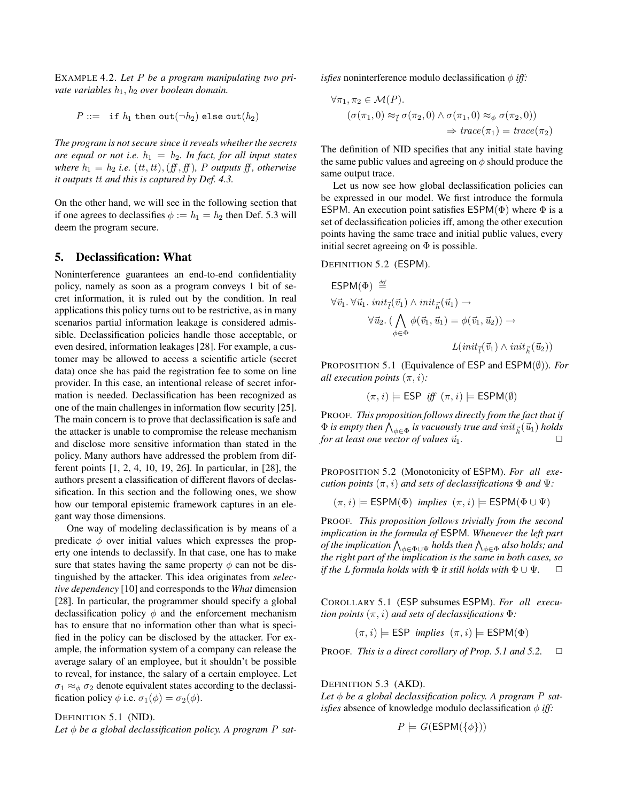EXAMPLE 4.2. *Let* P *be a program manipulating two private variables*  $h_1$ ,  $h_2$  *over boolean domain.* 

$$
P ::= \text{ if } h_1 \text{ then out}(\neg h_2) \text{ else out}(h_2)
$$

*The program is not secure since it reveals whether the secrets are equal or not i.e.*  $h_1 = h_2$ *. In fact, for all input states where*  $h_1 = h_2$  *i.e.* (*tt, tt*), (*ff, ff*), *P outputs ff, otherwise it outputs* tt *and this is captured by Def. 4.3.*

On the other hand, we will see in the following section that if one agrees to declassifies  $\phi := h_1 = h_2$  then Def. 5.3 will deem the program secure.

#### 5. Declassification: What

Noninterference guarantees an end-to-end confidentiality policy, namely as soon as a program conveys 1 bit of secret information, it is ruled out by the condition. In real applications this policy turns out to be restrictive, as in many scenarios partial information leakage is considered admissible. Declassification policies handle those acceptable, or even desired, information leakages [28]. For example, a customer may be allowed to access a scientific article (secret data) once she has paid the registration fee to some on line provider. In this case, an intentional release of secret information is needed. Declassification has been recognized as one of the main challenges in information flow security [25]. The main concern is to prove that declassification is safe and the attacker is unable to compromise the release mechanism and disclose more sensitive information than stated in the policy. Many authors have addressed the problem from different points [1, 2, 4, 10, 19, 26]. In particular, in [28], the authors present a classification of different flavors of declassification. In this section and the following ones, we show how our temporal epistemic framework captures in an elegant way those dimensions.

One way of modeling declassification is by means of a predicate  $\phi$  over initial values which expresses the property one intends to declassify. In that case, one has to make sure that states having the same property  $\phi$  can not be distinguished by the attacker. This idea originates from *selective dependency* [10] and corresponds to the *What* dimension [28]. In particular, the programmer should specify a global declassification policy  $\phi$  and the enforcement mechanism has to ensure that no information other than what is specified in the policy can be disclosed by the attacker. For example, the information system of a company can release the average salary of an employee, but it shouldn't be possible to reveal, for instance, the salary of a certain employee. Let  $\sigma_1 \approx_{\phi} \sigma_2$  denote equivalent states according to the declassification policy  $\phi$  i.e.  $\sigma_1(\phi) = \sigma_2(\phi)$ .

DEFINITION 5.1 (NID). Let  $\phi$  be a global declassification policy. A program P sat*isfies* noninterference modulo declassification  $\phi$  *iff*:

$$
\forall \pi_1, \pi_2 \in \mathcal{M}(P).
$$
  
\n
$$
(\sigma(\pi_1, 0) \approx_{\vec{l}} \sigma(\pi_2, 0) \land \sigma(\pi_1, 0) \approx_{\phi} \sigma(\pi_2, 0))
$$
  
\n
$$
\Rightarrow trace(\pi_1) = trace(\pi_2)
$$

The definition of NID specifies that any initial state having the same public values and agreeing on  $\phi$  should produce the same output trace.

Let us now see how global declassification policies can be expressed in our model. We first introduce the formula ESPM. An execution point satisfies ESPM( $\Phi$ ) where  $\Phi$  is a set of declassification policies iff, among the other execution points having the same trace and initial public values, every initial secret agreeing on  $\Phi$  is possible.

DEFINITION 5.2 (ESPM).

$$
\begin{aligned} \mathsf{ESPM}(\Phi) & \stackrel{\text{def}}{=} \\ \forall \vec{v}_1. \ \forall \vec{u}_1. \ init_{\vec{l}}(\vec{v}_1) \land init_{\vec{h}}(\vec{u}_1) \rightarrow \\ &\quad \forall \vec{u}_2. \ \big(\bigwedge_{\phi \in \Phi} \phi(\vec{v}_1, \vec{u}_1) = \phi(\vec{v}_1, \vec{u}_2)\big) \rightarrow \\ & L(\text{init}_{\vec{l}}(\vec{v}_1) \land \text{init}_{\vec{h}}(\vec{u}_2)) \end{aligned}
$$

PROPOSITION 5.1 (Equivalence of ESP and ESPM(∅)). *For all execution points*  $(\pi, i)$ *:* 

$$
(\pi, i)
$$
  $\models$  ESP *iff*  $(\pi, i)$   $\models$  ESPM( $\emptyset$ )

PROOF. *This proposition follows directly from the fact that if*  $\Phi$  *is empty then*  $\bigwedge_{\phi \in \Phi}$  *is vacuously true and*  $\mathop{\mathit init}\nolimits_{\vec h}(\vec u_1)$  *holds for at least one vector of values*  $\vec{u}_1$ *.* 

PROPOSITION 5.2 (Monotonicity of ESPM). *For all execution points*  $(\pi, i)$  *and sets of declassifications*  $\Phi$  *and*  $\Psi$ *:* 

$$
(\pi, i)
$$
  $\models$  ESPM( $\Phi$ ) *implies*  $(\pi, i)$   $\models$  ESPM( $\Phi \cup \Psi$ )

PROOF. *This proposition follows trivially from the second implication in the formula of* ESPM*. Whenever the left part of the implication*  $\bigwedge_{\phi \in \Phi \cup \Psi}$  *holds then*  $\bigwedge_{\phi \in \Phi}$  *also holds; and the right part of the implication is the same in both cases, so if the L formula holds with*  $\Phi$  *it still holds with*  $\Phi \cup \Psi$ *.* 

COROLLARY 5.1 (ESP subsumes ESPM). *For all execution points*  $(\pi, i)$  *and sets of declassifications*  $\Phi$ *:* 

 $(\pi, i) \models$  ESP *implies*  $(\pi, i) \models$  ESPM( $\Phi$ )

**PROOF.** *This is a direct corollary of Prop.* 5.1 and 5.2.  $\Box$ 

#### DEFINITION 5.3 (AKD).

Let  $\phi$  be a global declassification policy. A program P sat*isfies* absence of knowledge modulo declassification  $\phi$  *iff:* 

$$
P \models G(\text{ESPM}(\{\phi\}))
$$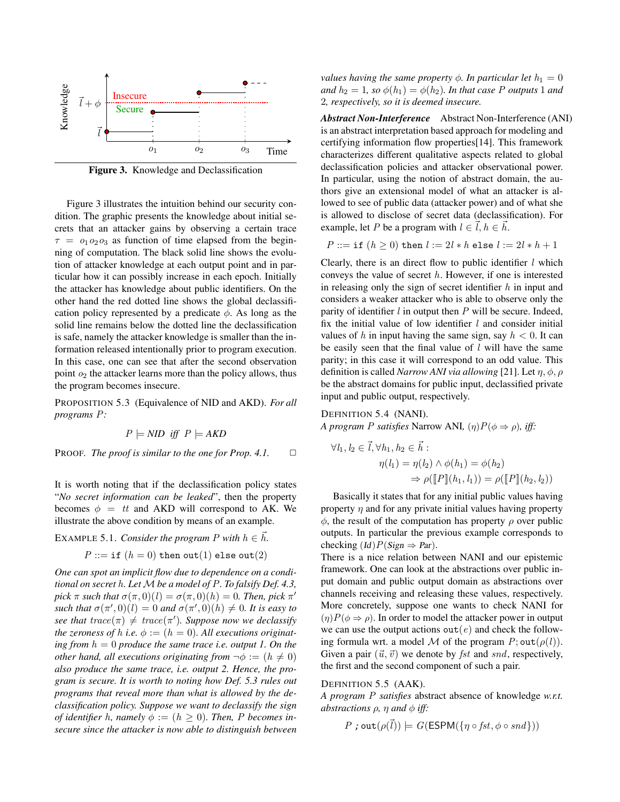

Figure 3. Knowledge and Declassification

Figure 3 illustrates the intuition behind our security condition. The graphic presents the knowledge about initial secrets that an attacker gains by observing a certain trace  $\tau = o_1 o_2 o_3$  as function of time elapsed from the beginning of computation. The black solid line shows the evolution of attacker knowledge at each output point and in particular how it can possibly increase in each epoch. Initially the attacker has knowledge about public identifiers. On the other hand the red dotted line shows the global declassification policy represented by a predicate  $\phi$ . As long as the solid line remains below the dotted line the declassification is safe, namely the attacker knowledge is smaller than the information released intentionally prior to program execution. In this case, one can see that after the second observation point  $o_2$  the attacker learns more than the policy allows, thus the program becomes insecure.

PROPOSITION 5.3 (Equivalence of NID and AKD). *For all programs* P*:*

$$
P \models NID \text{ iff } P \models AKD
$$

**PROOF.** *The proof is similar to the one for Prop.* 4.1.  $\Box$ 

It is worth noting that if the declassification policy states "*No secret information can be leaked*", then the property becomes  $\phi = tt$  and AKD will correspond to AK. We illustrate the above condition by means of an example.

EXAMPLE 5.1. *Consider the program*  $P$  *with*  $h \in h$ .  $P_{1}$  :::  $f(l = 0)$  then  $f(1)$  = 1

$$
P ::= \mathtt{il}\ (h = 0) \ \mathtt{then} \ \mathtt{out}(1) \ \mathtt{else} \ \mathtt{out}(2)
$$

*One can spot an implicit flow due to dependence on a conditional on secret* h*. Let*M*be a model of* P*. To falsify Def. 4.3, pick*  $\pi$  *such that*  $\sigma(\pi, 0)(l) = \sigma(\pi, 0)(h) = 0$ *. Then, pick*  $\pi'$ such that  $\sigma(\pi',0)(l) = 0$  and  $\sigma(\pi',0)(h) \neq 0$ . It is easy to  $see$  that  $trace(\pi) \neq trace(\pi')$ . Suppose now we declassify *the zeroness of h i.e.*  $\phi := (h = 0)$ *. All executions originating from* h = 0 *produce the same trace i.e. output 1. On the other hand, all executions originating from*  $\neg \phi := (h \neq 0)$ *also produce the same trace, i.e. output 2. Hence, the program is secure. It is worth to noting how Def. 5.3 rules out programs that reveal more than what is allowed by the declassification policy. Suppose we want to declassify the sign of identifier h, namely*  $\phi := (h \ge 0)$ *. Then, P becomes insecure since the attacker is now able to distinguish between*

*values having the same property*  $\phi$ *. In particular let*  $h_1 = 0$ *and*  $h_2 = 1$ *, so*  $\phi(h_1) = \phi(h_2)$ *. In that case P outputs* 1 *and* 2*, respectively, so it is deemed insecure.*

*Abstract Non-Interference* Abstract Non-Interference (ANI) is an abstract interpretation based approach for modeling and certifying information flow properties[14]. This framework characterizes different qualitative aspects related to global declassification policies and attacker observational power. In particular, using the notion of abstract domain, the authors give an extensional model of what an attacker is allowed to see of public data (attacker power) and of what she is allowed to disclose of secret data (declassification). For example, let P be a program with  $l \in \overline{l}$ ,  $h \in \overline{h}$ .

 $P ::= \text{if } (h > 0) \text{ then } l := 2l * h \text{ else } l := 2l * h + 1$ 

Clearly, there is an direct flow to public identifier  $l$  which conveys the value of secret  $h$ . However, if one is interested in releasing only the sign of secret identifier  $h$  in input and considers a weaker attacker who is able to observe only the parity of identifier  $l$  in output then  $P$  will be secure. Indeed, fix the initial value of low identifier  $l$  and consider initial values of h in input having the same sign, say  $h < 0$ . It can be easily seen that the final value of  $l$  will have the same parity; in this case it will correspond to an odd value. This definition is called *Narrow ANI via allowing* [21]. Let η, φ, ρ be the abstract domains for public input, declassified private input and public output, respectively.

DEFINITION 5.4 (NANI). *A program P satisfies* Narrow ANI,  $(\eta)P(\phi \Rightarrow \rho)$ *, iff:* 

$$
\forall l_1, l_2 \in \vec{l}, \forall h_1, h_2 \in \vec{h} : \newline \eta(l_1) = \eta(l_2) \land \phi(h_1) = \phi(h_2) \newline \Rightarrow \rho([\![P]\!](h_1, l_1)) = \rho([\![P]\!](h_2, l_2))
$$

Basically it states that for any initial public values having property  $\eta$  and for any private initial values having property  $\phi$ , the result of the computation has property  $\rho$  over public outputs. In particular the previous example corresponds to checking  $(Id)P(Sign \Rightarrow Par)$ .

There is a nice relation between NANI and our epistemic framework. One can look at the abstractions over public input domain and public output domain as abstractions over channels receiving and releasing these values, respectively. More concretely, suppose one wants to check NANI for  $(\eta)P(\phi \Rightarrow \rho)$ . In order to model the attacker power in output we can use the output actions  $out(e)$  and check the following formula wrt. a model M of the program  $P$ ; out $(\rho(l))$ . Given a pair  $(\vec{u}, \vec{v})$  we denote by fst and snd, respectively, the first and the second component of such a pair.

#### DEFINITION 5.5 (AAK).

*A program* P *satisfies* abstract absence of knowledge *w.r.t. abstractions*  $\rho$ *,*  $\eta$  *and*  $\phi$  *iff:* 

$$
P:\texttt{out}(\rho(\vec{l})) \models G(\textsf{ESPM}(\{\eta \circ \mathit{fst}, \phi \circ \mathit{snd}\}))
$$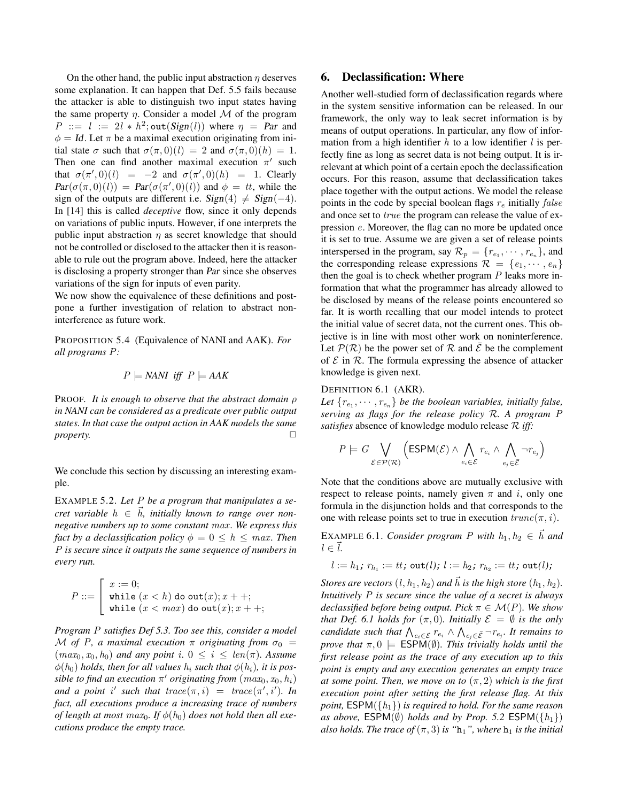On the other hand, the public input abstraction  $\eta$  deserves some explanation. It can happen that Def. 5.5 fails because the attacker is able to distinguish two input states having the same property  $\eta$ . Consider a model  $\mathcal M$  of the program  $P ::= l := 2l * h^2$ ; out  $(Sign(l))$  where  $\eta = Par$  and  $\phi = Id$ . Let  $\pi$  be a maximal execution originating from initial state  $\sigma$  such that  $\sigma(\pi, 0)(l) = 2$  and  $\sigma(\pi, 0)(h) = 1$ . Then one can find another maximal execution  $\pi'$  such that  $\sigma(\pi',0)(l) = -2$  and  $\sigma(\pi',0)(h) = 1$ . Clearly  $Par(\sigma(\pi, 0)(l)) = Par(\sigma(\pi', 0)(l))$  and  $\phi = tt$ , while the sign of the outputs are different i.e.  $Sign(4) \neq Sign(-4)$ . In [14] this is called *deceptive* flow, since it only depends on variations of public inputs. However, if one interprets the public input abstraction  $\eta$  as secret knowledge that should not be controlled or disclosed to the attacker then it is reasonable to rule out the program above. Indeed, here the attacker is disclosing a property stronger than Par since she observes variations of the sign for inputs of even parity.

We now show the equivalence of these definitions and postpone a further investigation of relation to abstract noninterference as future work.

PROPOSITION 5.4 (Equivalence of NANI and AAK). *For all programs* P*:*

$$
P \models
$$
 *NANI iff*  $P \models$  *AAK*

PROOF. *It is enough to observe that the abstract domain* ρ *in NANI can be considered as a predicate over public output states. In that case the output action in AAK models the same* property.

We conclude this section by discussing an interesting example.

EXAMPLE 5.2. *Let* P *be a program that manipulates a se* $cret$  variable  $h \in h$ , initially known to range over non*negative numbers up to some constant max. We express this fact by a declassification policy*  $\phi = 0 \leq h \leq \text{max}$ . *Then* P *is secure since it outputs the same sequence of numbers in every run.*

$$
P ::= \begin{bmatrix} x := 0; \\ \text{while } (x < h) \text{ do } \text{out}(x); x + +; \\ \text{while } (x < max) \text{ do } \text{out}(x); x + +; \end{bmatrix}
$$

*Program* P *satisfies Def 5.3. Too see this, consider a model* M of P, a maximal execution  $\pi$  originating from  $\sigma_0$  =  $(max_0, x_0, h_0)$  *and any point* i.  $0 \le i \le len(\pi)$ *. Assume*  $\phi(h_0)$  *holds, then for all values*  $h_i$  *such that*  $\phi(h_i)$ *, it is pos* $sible$  to find an execution  $\pi'$  originating from  $(max_0, x_0, h_i)$ and a point i' such that  $trace(\pi, i) = trace(\pi', i')$ . In *fact, all executions produce a increasing trace of numbers of length at most max<sub>0</sub>. If*  $\phi(h_0)$  *does not hold then all executions produce the empty trace.*

# 6. Declassification: Where

Another well-studied form of declassification regards where in the system sensitive information can be released. In our framework, the only way to leak secret information is by means of output operations. In particular, any flow of information from a high identifier  $h$  to a low identifier  $l$  is perfectly fine as long as secret data is not being output. It is irrelevant at which point of a certain epoch the declassification occurs. For this reason, assume that declassification takes place together with the output actions. We model the release points in the code by special boolean flags  $r_e$  initially false and once set to *true* the program can release the value of expression e. Moreover, the flag can no more be updated once it is set to true. Assume we are given a set of release points interspersed in the program, say  $\mathcal{R}_p = \{r_{e_1}, \dots, r_{e_n}\}$ , and the corresponding release expressions  $\mathcal{R} = \{e_1, \dots, e_n\}$ then the goal is to check whether program  $P$  leaks more information that what the programmer has already allowed to be disclosed by means of the release points encountered so far. It is worth recalling that our model intends to protect the initial value of secret data, not the current ones. This objective is in line with most other work on noninterference. Let  $\mathcal{P}(\mathcal{R})$  be the power set of  $\mathcal R$  and  $\overline{\mathcal{E}}$  be the complement of  $\mathcal E$  in  $\mathcal R$ . The formula expressing the absence of attacker knowledge is given next.

#### DEFINITION 6.1 (AKR).

Let  $\{r_{e_1}, \cdots, r_{e_n}\}$  be the boolean variables, initially false, *serving as flags for the release policy* R*. A program* P *satisfies* absence of knowledge modulo release R *iff:*

$$
P \models G \bigvee_{\mathcal{E} \in \mathcal{P}(\mathcal{R})} \left( \mathsf{ESPM}(\mathcal{E}) \land \bigwedge_{e_i \in \mathcal{E}} r_{e_i} \land \bigwedge_{e_j \in \bar{\mathcal{E}}} \neg r_{e_j} \right)
$$

Note that the conditions above are mutually exclusive with respect to release points, namely given  $\pi$  and i, only one formula in the disjunction holds and that corresponds to the one with release points set to true in execution  $trunc(\pi, i)$ .

EXAMPLE 6.1. *Consider program* P with  $h_1, h_2 \in \vec{h}$  and  $l \in l$ .

$$
l := h_1; r_{h_1} := tt; \mathsf{out}(l); l := h_2; r_{h_2} := tt; \mathsf{out}(l);
$$

*Stores are vectors*  $(l, h_1, h_2)$  *and*  $\overrightarrow{h}$  *is the high store*  $(h_1, h_2)$ *. Intuitively* P *is secure since the value of a secret is always declassified before being output. Pick*  $\pi \in \mathcal{M}(P)$ *. We show that Def.* 6.1 *holds for*  $(\pi, 0)$ *. Initially*  $\mathcal{E} = \emptyset$  *is the only candidate such that*  $\bigwedge_{e_i \in \mathcal{E}} r_{e_i} \land \bigwedge_{e_j \in \bar{\mathcal{E}}} \neg r_{e_j}$ . It remains to *prove that*  $\pi$ ,  $0 \models$  **ESPM(** $\emptyset$ )*. This trivially holds until the first release point as the trace of any execution up to this point is empty and any execution generates an empty trace at some point. Then, we move on to*  $(\pi, 2)$  *which is the first execution point after setting the first release flag. At this point,* ESPM({h1}) *is required to hold. For the same reason as above,*  $\text{ESPM}(\emptyset)$  *holds and by Prop.* 5.2  $\text{ESPM}(\lbrace h_1 \rbrace)$ *also holds. The trace of*  $(\pi, 3)$  *is "h<sub>1</sub>", where*  $h_1$  *is the initial*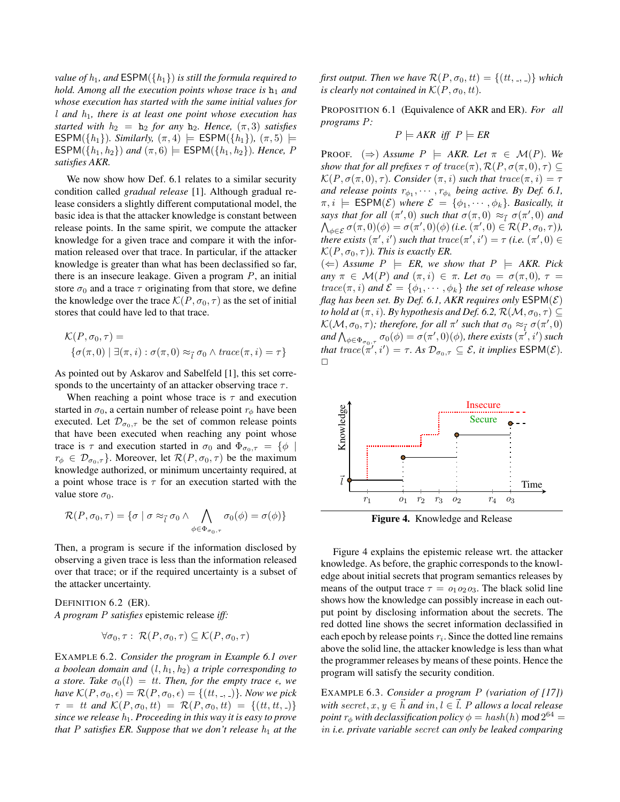*value of*  $h_1$ *, and*  $\textsf{ESPM}(\lbrace h_1 \rbrace)$  *is still the formula required to hold. Among all the execution points whose trace is*  $h_1$  *and whose execution has started with the same initial values for* l and  $h_1$ , there is at least one point whose execution has *started with*  $h_2 = h_2$  *for any*  $h_2$ *. Hence,*  $(\pi, 3)$  *satisfies* ESPM({ $h_1$ })*. Similarly,*  $(\pi, 4) \models$  ESPM({ $h_1$ })*,*  $(\pi, 5) \models$ ESPM({ $h_1, h_2$ }) *and* ( $\pi, 6$ )  $\models$  ESPM({ $h_1, h_2$ })*. Hence,* P *satisfies AKR.*

We now show how Def. 6.1 relates to a similar security condition called *gradual release* [1]. Although gradual release considers a slightly different computational model, the basic idea is that the attacker knowledge is constant between release points. In the same spirit, we compute the attacker knowledge for a given trace and compare it with the information released over that trace. In particular, if the attacker knowledge is greater than what has been declassified so far, there is an insecure leakage. Given a program  $P$ , an initial store  $\sigma_0$  and a trace  $\tau$  originating from that store, we define the knowledge over the trace  $\mathcal{K}(P, \sigma_0, \tau)$  as the set of initial stores that could have led to that trace.

$$
\mathcal{K}(P, \sigma_0, \tau) =
$$
  
\n
$$
\{\sigma(\pi, 0) \mid \exists (\pi, i) : \sigma(\pi, 0) \approx_{\vec{l}} \sigma_0 \land trace(\pi, i) = \tau\}
$$

As pointed out by Askarov and Sabelfeld [1], this set corresponds to the uncertainty of an attacker observing trace  $\tau$ .

When reaching a point whose trace is  $\tau$  and execution started in  $\sigma_0$ , a certain number of release point  $r_{\phi}$  have been executed. Let  $\mathcal{D}_{\sigma_0,\tau}$  be the set of common release points that have been executed when reaching any point whose trace is  $\tau$  and execution started in  $\sigma_0$  and  $\Phi_{\sigma_0,\tau} = {\phi \mid \phi}$  $r_{\phi} \in \mathcal{D}_{\sigma_0,\tau}$ . Moreover, let  $\mathcal{R}(P,\sigma_0,\tau)$  be the maximum knowledge authorized, or minimum uncertainty required, at a point whose trace is  $\tau$  for an execution started with the value store  $\sigma_0$ .

$$
\mathcal{R}(P, \sigma_0, \tau) = \{ \sigma \mid \sigma \approx_{\vec{l}} \sigma_0 \land \bigwedge_{\phi \in \Phi_{\sigma_0, \tau}} \sigma_0(\phi) = \sigma(\phi) \}
$$

Then, a program is secure if the information disclosed by observing a given trace is less than the information released over that trace; or if the required uncertainty is a subset of the attacker uncertainty.

DEFINITION 6.2 (ER). *A program* P *satisfies* epistemic release *iff:*

$$
\forall \sigma_0, \tau: \ \mathcal{R}(P, \sigma_0, \tau) \subseteq \mathcal{K}(P, \sigma_0, \tau)
$$

EXAMPLE 6.2. *Consider the program in Example 6.1 over a boolean domain and*  $(l, h_1, h_2)$  *a triple corresponding to a store. Take*  $\sigma_0(l) = tt$ *. Then, for the empty trace*  $\epsilon$ *, we have*  $\mathcal{K}(P, \sigma_0, \epsilon) = \mathcal{R}(P, \sigma_0, \epsilon) = \{(tt, \epsilon, \epsilon)\}\$ . *Now we pick*  $\tau = tt$  and  $\mathcal{K}(P, \sigma_0, tt) = \mathcal{R}(P, \sigma_0, tt) = \{(tt, tt, t)\}$ *since we release*  $h_1$ *. Proceeding in this way it is easy to prove that*  $P$  *satisfies*  $ER$ *. Suppose that we don't release*  $h_1$  *at the* 

*first output. Then we have*  $\mathcal{R}(P, \sigma_0, tt) = \{(tt, \_, \_)\}$  *which is clearly not contained in*  $\mathcal{K}(P, \sigma_0, \text{ } t)$ *.* 

PROPOSITION 6.1 (Equivalence of AKR and ER). *For all programs* P*:*

$$
P \models AKR \text{ iff } P \models ER
$$

**PROOF.**  $(\Rightarrow)$  *Assume*  $P \models AKR$ *. Let*  $\pi \in \mathcal{M}(P)$ *. We show that for all prefixes*  $\tau$  *of trace* $(\pi)$ ,  $\mathcal{R}(P, \sigma(\pi, 0), \tau) \subseteq$  $\mathcal{K}(P, \sigma(\pi, 0), \tau)$ *. Consider*  $(\pi, i)$  *such that trace* $(\pi, i) = \tau$ *and release points*  $r_{\phi_1}, \cdots, r_{\phi_k}$  *being active. By Def. 6.1,*  $\pi, i \models \text{ESPM}(\mathcal{E})$  where  $\mathcal{E} = {\phi_1, \cdots, \phi_k}$ *. Basically, it says that for all*  $(\pi', 0)$  *such that*  $\sigma(\pi, 0) \approx_{\vec{l}} \sigma(\pi', 0)$  *and*  $\bigwedge_{\phi\in\mathcal{E}}\sigma(\pi,0)(\phi)=\sigma(\pi',0)(\phi)$  (i.e.  $(\pi',0)\in\mathcal{R}(P,\sigma_0,\tau)$ ), *there exists*  $(\pi', i')$  *such that trace* $(\pi', i') = \tau$  *(i.e.*  $(\pi', 0) \in$  $\mathcal{K}(P, \sigma_0, \tau)$ *). This is exactly ER.* 

 $(\Leftarrow)$  *Assume*  $P \models ER$ , we show that  $P \models AKR$ . Pick  $any \pi \in \mathcal{M}(P)$  *and*  $(\pi, i) \in \pi$ *. Let*  $\sigma_0 = \sigma(\pi, 0)$ *,*  $\tau =$  $trace(\pi, i)$  *and*  $\mathcal{E} = {\phi_1, \cdots, \phi_k}$  *the set of release whose flag has been set. By Def. 6.1, AKR requires only*  $\mathsf{ESPM}(\mathcal{E})$ *to hold at*  $(\pi, i)$ *. By hypothesis and Def. 6.2,*  $\mathcal{R}(\mathcal{M}, \sigma_0, \tau) \subseteq$  $\mathcal{K}(\mathcal{M}, \sigma_0, \tau)$ ; therefore, for all  $\pi'$  such that  $\sigma_0 \approx_{\vec{l}} \sigma(\pi', 0)$ and  $\bigwedge_{\phi \in \Phi_{\sigma_0, \tau}} \sigma_0(\phi) = \sigma(\pi', 0)(\phi)$ , there exists  $(\pi', i')$  such *that*  $trace(\pi', i') = \tau$ . As  $\mathcal{D}_{\sigma_0, \tau} \subseteq \mathcal{E}$ , *it implies* ESPM( $\mathcal{E}$ ).  $\Box$ 



Figure 4. Knowledge and Release

Figure 4 explains the epistemic release wrt. the attacker knowledge. As before, the graphic corresponds to the knowledge about initial secrets that program semantics releases by means of the output trace  $\tau = o_1 o_2 o_3$ . The black solid line shows how the knowledge can possibly increase in each output point by disclosing information about the secrets. The red dotted line shows the secret information declassified in each epoch by release points  $r_i$ . Since the dotted line remains above the solid line, the attacker knowledge is less than what the programmer releases by means of these points. Hence the program will satisfy the security condition.

EXAMPLE 6.3. *Consider a program* P *(variation of [17]) with secret, x, y*  $\in$   $\overrightarrow{h}$  *and in, l*  $\in$   $\overrightarrow{l}$ *. P allows a local release* point  $r_{\phi}$  with declassification policy  $\phi = hash(h)$  mod  $2^{64} =$ in *i.e. private variable* secret *can only be leaked comparing*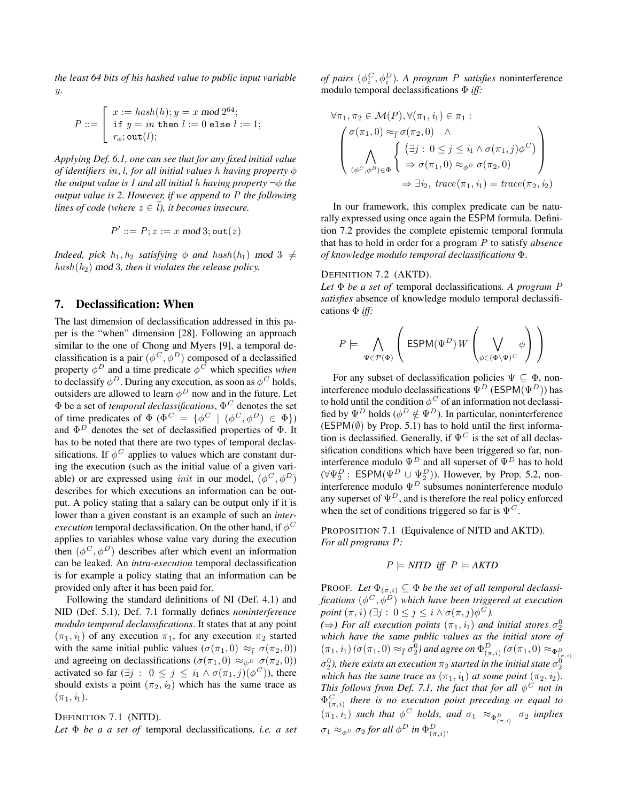*the least 64 bits of his hashed value to public input variable* y*.*

$$
P ::= \begin{cases} x := hash(h); y = x \mod 2^{64}; \\ \text{if } y = in \text{ then } l := 0 \text{ else } l := 1; \\ r_{\phi}; \text{out}(l); \end{cases}
$$

*Applying Def. 6.1, one can see that for any fixed initial value of identifiers* in, l*, for all initial values* h *having property* φ *the output value is 1 and all initial h having property*  $\neg \phi$  *the output value is 2. However, if we append to* P *the following lines of code (where*  $z \in \overrightarrow{l}$ *), it becomes insecure.* 

$$
P' ::= P; z := x \bmod 3; \text{out}(z)
$$

*Indeed, pick*  $h_1, h_2$  *satisfying*  $\phi$  *and*  $hash(h_1)$  mod 3  $\neq$  $hash(h_2) \text{ mod } 3$ , then it violates the release policy.

#### 7. Declassification: When

The last dimension of declassification addressed in this paper is the "when" dimension [28]. Following an approach similar to the one of Chong and Myers [9], a temporal declassification is a pair  $(\phi^C, \phi^D)$  composed of a declassified property  $\phi^D$  and a time predicate  $\phi^C$  which specifies *when* to declassify  $\phi^D$ . During any execution, as soon as  $\phi^C$  holds, outsiders are allowed to learn  $\phi^D$  now and in the future. Let  $\Phi$  be a set of *temporal declassifications*,  $\Phi^C$  denotes the set of time predicates of  $\Phi$  ( $\Phi^C = {\phi^C \mid (\phi^C, \phi^D) \in \Phi}$ ) and  $\Phi^D$  denotes the set of declassified properties of  $\Phi$ . It has to be noted that there are two types of temporal declassifications. If  $\phi^C$  applies to values which are constant during the execution (such as the initial value of a given variable) or are expressed using *init* in our model,  $(\phi^C, \phi^D)$ describes for which executions an information can be output. A policy stating that a salary can be output only if it is lower than a given constant is an example of such an *interexecution* temporal declassification. On the other hand, if  $\phi^C$ applies to variables whose value vary during the execution then  $(\phi^C, \phi^D)$  describes after which event an information can be leaked. An *intra-execution* temporal declassification is for example a policy stating that an information can be provided only after it has been paid for.

Following the standard definitions of NI (Def. 4.1) and NID (Def. 5.1), Def. 7.1 formally defines *noninterference modulo temporal declassifications*. It states that at any point  $(\pi_1, i_1)$  of any execution  $\pi_1$ , for any execution  $\pi_2$  started with the same initial public values  $(\sigma(\pi_1, 0) \approx_{\vec{l}} \sigma(\pi_2, 0))$ and agreeing on declassifications  $(\sigma(\pi_1, 0) \approx_{\psi} \sigma(\pi_2, 0))$ activated so far  $(\exists j : 0 \le j \le i_1 \wedge \sigma(\pi_1, j)(\phi^C))$ , there should exists a point  $(\pi_2, i_2)$  which has the same trace as  $(\pi_1, i_1).$ 

# DEFINITION 7.1 (NITD).

*Let* Φ *be a a set of* temporal declassifications*, i.e. a set*

*of pairs*  $(\phi_i^C, \phi_i^D)$ . A program P satisfies noninterference modulo temporal declassifications Φ *iff:*

$$
\forall \pi_1, \pi_2 \in \mathcal{M}(P), \forall (\pi_1, i_1) \in \pi_1 :
$$
  

$$
\begin{pmatrix}\n\sigma(\pi_1, 0) \approx_{\vec{l}} \sigma(\pi_2, 0) & \wedge \\
\bigwedge \left(\exists j : 0 \le j \le i_1 \wedge \sigma(\pi_1, j)\phi^C\right) \\
\Rightarrow \sigma(\pi_1, 0) \approx_{\phi^D} \sigma(\pi_2, 0)\n\end{pmatrix} \Rightarrow \exists i_2, trace(\pi_1, i_1) = trace(\pi_2, i_2)
$$

In our framework, this complex predicate can be naturally expressed using once again the ESPM formula. Definition 7.2 provides the complete epistemic temporal formula that has to hold in order for a program P to satisfy *absence of knowledge modulo temporal declassifications* Φ.

#### DEFINITION 7.2 (AKTD).

*Let* Φ *be a set of* temporal declassifications*. A program* P *satisfies* absence of knowledge modulo temporal declassifications Φ *iff:*

$$
P \models \bigwedge_{\Psi \in \mathcal{P}(\Phi)} \left( \ \mathsf{ESPM}(\Psi^D) \, W \left( \bigvee_{\phi \in (\Phi \setminus \Psi)^C} \phi \right) \ \right)
$$

For any subset of declassification policies  $\Psi \subseteq \Phi$ , noninterference modulo declassifications  $\Psi^D$  (ESPM( $\Psi^D$ )) has to hold until the condition  $\phi^C$  of an information not declassified by  $\Psi^D$  holds ( $\phi^D \notin \Psi^D$ ). In particular, noninterference (ESPM $(\emptyset)$  by Prop. 5.1) has to hold until the first information is declassified. Generally, if  $\Psi^C$  is the set of all declassification conditions which have been triggered so far, noninterference modulo  $\Psi^D$  and all superset of  $\Psi^D$  has to hold  $(\forall \Psi_2^D : \text{ESPM}(\Psi^D \cup \Psi_2^D))$ . However, by Prop. 5.2, noninterference modulo  $\Psi^D$  subsumes noninterference modulo any superset of  $\Psi^D$ , and is therefore the real policy enforced when the set of conditions triggered so far is  $\Psi^C$ .

PROPOSITION 7.1 (Equivalence of NITD and AKTD). *For all programs* P*:*

$$
P \models NITO
$$
 iff  $P \models AKTD$ 

PROOF. Let  $\Phi_{(\pi,i)} \subseteq \Phi$  *be the set of all temporal declassifications* (φ <sup>C</sup> , φ<sup>D</sup> ) *which have been triggered at execution point*  $(\pi, i)$   $(\exists j : 0 \le j \le i \land \sigma(\pi, j) \phi^C)$ *.*  $(\Rightarrow)$  *For all execution points*  $(\pi_1, i_1)$  *and initial stores*  $\sigma_2^0$ *which have the same public values as the initial store of*  $(\pi_1,i_1)$  ( $\sigma(\pi_1,0)\approx_{\vec{l}} \sigma_2^0$ ) and agree on  $\Phi^D_{(\pi,i)}$  ( $\sigma(\pi_1,0)\approx_{\Phi^D_{(\pi,i)}}$  $\sigma_2^0$ ), there exists an execution  $\pi_2$  started in the initial state  $\sigma_2^0$ *which has the same trace as*  $(\pi_1, i_1)$  *at some point*  $(\pi_2, i_2)$ *. This follows from Def.* 7.1, the fact that for all  $\phi^C$  not in  $\Phi_{(\pi,i)}^C$  there is no execution point preceding or equal to  $(\pi_1, i_1)$  *such that*  $\phi^C$  *holds, and*  $\sigma_1 \approx_{\Phi^D_{(\pi, i)}} \sigma_2$  *implies*  $\sigma_1 \approx_{\phi^D} \sigma_2$  for all  $\phi^D$  in  $\Phi^D_{(\pi,i)}$ .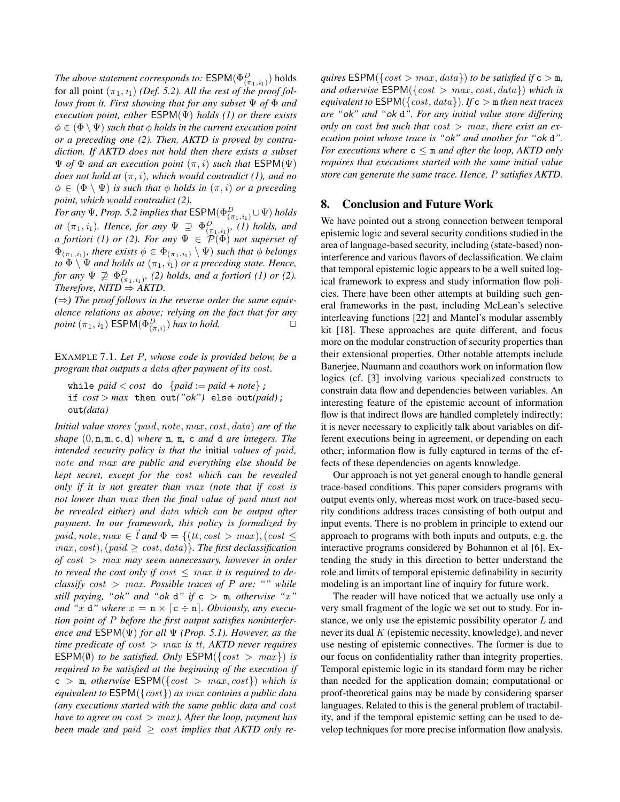*The above statement corresponds to:*  $\mathsf{ESPM}(\Phi^D_{(\pi_1,i_1)})$  holds for all point  $(\pi_1, i_1)$  *(Def. 5.2). All the rest of the proof follows from it. First showing that for any subset* Ψ *of* Φ *and execution point, either* ESPM(Ψ) *holds (1) or there exists*  $\phi \in (\Phi \setminus \Psi)$  *such that*  $\phi$  *holds in the current execution point or a preceding one (2). Then, AKTD is proved by contradiction. If AKTD does not hold then there exists a subset*  $\Psi$  *of*  $\Phi$  *and an execution point*  $(π, i)$  *such that* ESPM( $\Psi$ ) *does not hold at* (π, i)*, which would contradict (1), and no*  $\phi \in (\Phi \setminus \Psi)$  *is such that*  $\phi$  *holds in*  $(\pi, i)$  *or a preceding point, which would contradict (2).*

*For any*  $\Psi$ *, Prop. 5.2 implies that*  $\mathsf{ESPM}(\Phi^D_{(\pi_1,i_1)}\cup\Psi)$  *holds at*  $(\pi_1, i_1)$ *. Hence, for any*  $\Psi \supseteq \Phi_{(\pi_1, i_1)}^D$ *, (1) holds, and a fortiori (1) or (2). For any* Ψ ∈ P(Φ) *not superset of*  $\Phi_{(\pi_1,i_1)}$ , there exists  $\phi \in \Phi_{(\pi_1,i_1)} \setminus \Psi$  *such that*  $\phi$  *belongs to*  $\Phi \setminus \Psi$  *and holds at*  $(\pi_1, \hat{i}_1)$  *or a preceding state. Hence, for any*  $\Psi \ncong \Phi^D_{(\pi_1,i_1)}$ , (2) holds, and a fortiori (1) or (2). *Therefore, NITD*  $\Rightarrow$  *AKTD.* 

*(*⇒*) The proof follows in the reverse order the same equivalence relations as above; relying on the fact that for any point*  $(\pi_1, i_1)$  **ESPM** $(\Phi_{(\pi,i)}^D)$  *has to hold.*  $\Box$ 

EXAMPLE 7.1. *Let* P*, whose code is provided below, be a program that outputs a* data *after payment of its* cost*.*

while  $paid < cost$  do  $\{paid := paid + note\}$ ; if *cost* > *max* then out*("*ok*")* else out*(paid)*; out*(data)*

*Initial value stores* (paid, note, max , cost, data) *are of the shape* (0, n, m, c, d) *where* n*,* m*,* c *and* d *are integers. The intended security policy is that the* initial *values of* paid*,* note *and* max *are public and everything else should be kept secret, except for the* cost *which can be revealed only if it is not greater than* max *(note that if* cost *is not lower than* max *then the final value of* paid *must not be revealed either) and* data *which can be output after payment. In our framework, this policy is formalized by* paid, note, max  $\in \bar{l}$  and  $\Phi = \{(tt, cost > max), (cost \leq$  $max, cost), (paid \ge cost, data)$ *. The first declassification of* cost > max *may seem unnecessary, however in order to reveal the cost only if cost*  $\leq$  max *it is required to declassify* cost > max *. Possible traces of* P *are: "" while still paying, "ok" and "ok d" if*  $c > m$ , *otherwise "x"* and "x d" where  $x = \mathbf{n} \times [\mathbf{c} \div \mathbf{n}]$ . Obviously, any execu*tion point of* P *before the first output satisfies noninterference and*  $\text{ESPM}(\Psi)$  *for all*  $\Psi$  *(Prop. 5.1). However, as the time predicate of* cost > max *is* tt*, AKTD never requires* ESPM( $\emptyset$ ) *to be satisfied. Only* ESPM({*cost > max*}) *is required to be satisfied at the beginning of the execution if*  $c > m$ , *otherwise* ESPM({*cost > max, cost}*) which is *equivalent to* ESPM({cost}) *as* max *contains a public data (any executions started with the same public data and* cost *have to agree on* cost > max *). After the loop, payment has been made and paid*  $\geq$  *cost implies that AKTD only re-*

*quires* ESPM( $\{cost > max, data\}$ ) *to be satisfied if*  $c > m$ , *and otherwise*  $ESPM({cost > max, cost, data})$  *which is equivalent to*  $\text{ESPM}(\{ cost, data \})$ *. If*  $c > m$  *then next traces are "*ok*" and "*ok d*". For any initial value store differing* only on cost but such that  $cost > max$ , there exist an ex*ecution point whose trace is "*ok*" and another for "*ok d*". For executions where*  $c \leq m$  *and after the loop, AKTD only requires that executions started with the same initial value store can generate the same trace. Hence,* P *satisfies AKTD.*

### 8. Conclusion and Future Work

We have pointed out a strong connection between temporal epistemic logic and several security conditions studied in the area of language-based security, including (state-based) noninterference and various flavors of declassification. We claim that temporal epistemic logic appears to be a well suited logical framework to express and study information flow policies. There have been other attempts at building such general frameworks in the past, including McLean's selective interleaving functions [22] and Mantel's modular assembly kit [18]. These approaches are quite different, and focus more on the modular construction of security properties than their extensional properties. Other notable attempts include Banerjee, Naumann and coauthors work on information flow logics (cf. [3] involving various specialized constructs to constrain data flow and dependencies between variables. An interesting feature of the epistemic account of information flow is that indirect flows are handled completely indirectly: it is never necessary to explicitly talk about variables on different executions being in agreement, or depending on each other; information flow is fully captured in terms of the effects of these dependencies on agents knowledge.

Our approach is not yet general enough to handle general trace-based conditions. This paper considers programs with output events only, whereas most work on trace-based security conditions address traces consisting of both output and input events. There is no problem in principle to extend our approach to programs with both inputs and outputs, e.g. the interactive programs considered by Bohannon et al [6]. Extending the study in this direction to better understand the role and limits of temporal epistemic definability in security modeling is an important line of inquiry for future work.

The reader will have noticed that we actually use only a very small fragment of the logic we set out to study. For instance, we only use the epistemic possibility operator L and never its dual K (epistemic necessity, knowledge), and never use nesting of epistemic connectives. The former is due to our focus on confidentiality rather than integrity properties. Temporal epistemic logic in its standard form may be richer than needed for the application domain; computational or proof-theoretical gains may be made by considering sparser languages. Related to this is the general problem of tractability, and if the temporal epistemic setting can be used to develop techniques for more precise information flow analysis.